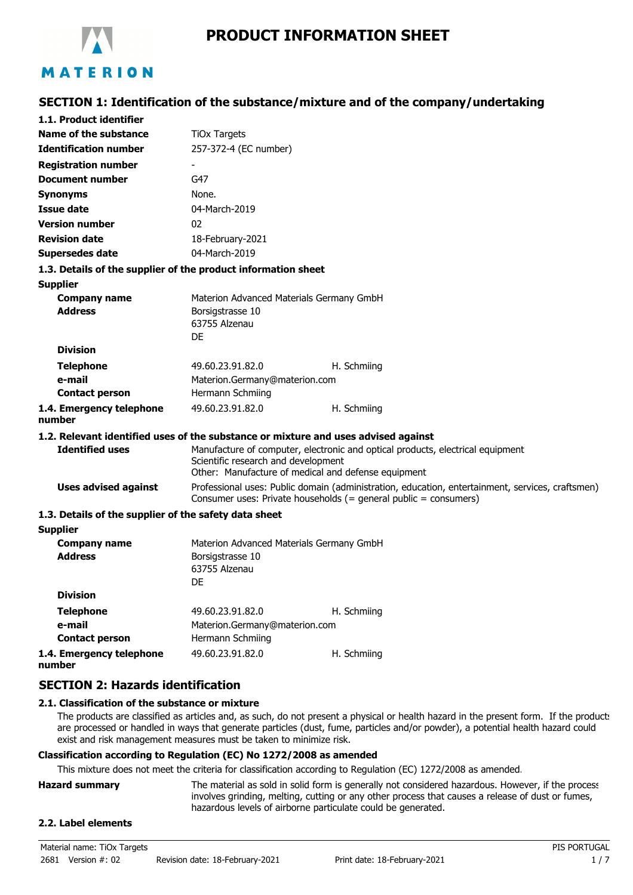

# **SECTION 1: Identification of the substance/mixture and of the company/undertaking**

| 1.1. Product identifier                                       |                                                                                                                                                                      |                                                                                                                                       |
|---------------------------------------------------------------|----------------------------------------------------------------------------------------------------------------------------------------------------------------------|---------------------------------------------------------------------------------------------------------------------------------------|
| Name of the substance                                         | <b>TiOx Targets</b>                                                                                                                                                  |                                                                                                                                       |
| <b>Identification number</b>                                  | 257-372-4 (EC number)                                                                                                                                                |                                                                                                                                       |
| <b>Registration number</b>                                    |                                                                                                                                                                      |                                                                                                                                       |
| <b>Document number</b>                                        | G47                                                                                                                                                                  |                                                                                                                                       |
| <b>Synonyms</b>                                               | None.                                                                                                                                                                |                                                                                                                                       |
| <b>Issue date</b>                                             | 04-March-2019                                                                                                                                                        |                                                                                                                                       |
| <b>Version number</b>                                         | 02                                                                                                                                                                   |                                                                                                                                       |
| <b>Revision date</b>                                          | 18-February-2021                                                                                                                                                     |                                                                                                                                       |
| <b>Supersedes date</b>                                        | 04-March-2019                                                                                                                                                        |                                                                                                                                       |
| 1.3. Details of the supplier of the product information sheet |                                                                                                                                                                      |                                                                                                                                       |
| <b>Supplier</b>                                               |                                                                                                                                                                      |                                                                                                                                       |
| <b>Company name</b><br><b>Address</b>                         | Borsigstrasse 10<br>63755 Alzenau<br>DE                                                                                                                              | Materion Advanced Materials Germany GmbH                                                                                              |
| <b>Division</b>                                               |                                                                                                                                                                      |                                                                                                                                       |
| <b>Telephone</b>                                              | 49.60.23.91.82.0                                                                                                                                                     | H. Schmiing                                                                                                                           |
| e-mail                                                        | Materion.Germany@materion.com                                                                                                                                        |                                                                                                                                       |
| <b>Contact person</b>                                         | Hermann Schmiing                                                                                                                                                     |                                                                                                                                       |
| 1.4. Emergency telephone<br>number                            | 49.60.23.91.82.0                                                                                                                                                     | H. Schmiing                                                                                                                           |
|                                                               |                                                                                                                                                                      | 1.2. Relevant identified uses of the substance or mixture and uses advised against                                                    |
| <b>Identified uses</b>                                        | Scientific research and development                                                                                                                                  | Manufacture of computer, electronic and optical products, electrical equipment<br>Other: Manufacture of medical and defense equipment |
| <b>Uses advised against</b>                                   | Professional uses: Public domain (administration, education, entertainment, services, craftsmen)<br>Consumer uses: Private households (= general public = consumers) |                                                                                                                                       |
| 1.3. Details of the supplier of the safety data sheet         |                                                                                                                                                                      |                                                                                                                                       |
| <b>Supplier</b>                                               |                                                                                                                                                                      |                                                                                                                                       |
| <b>Company name</b>                                           |                                                                                                                                                                      | Materion Advanced Materials Germany GmbH                                                                                              |
| <b>Address</b>                                                | Borsigstrasse 10<br>63755 Alzenau<br>DE                                                                                                                              |                                                                                                                                       |
| <b>Division</b>                                               |                                                                                                                                                                      |                                                                                                                                       |
| <b>Telephone</b><br>e-mail                                    | 49.60.23.91.82.0<br>Materion.Germany@materion.com                                                                                                                    | H. Schmiing                                                                                                                           |

**1.4. Emergency telephone number**

**Contact person**

### **SECTION 2: Hazards identification**

### **2.1. Classification of the substance or mixture**

The products are classified as articles and, as such, do not present a physical or health hazard in the present form. If the products are processed or handled in ways that generate particles (dust, fume, particles and/or powder), a potential health hazard could exist and risk management measures must be taken to minimize risk.

### **Classification according to Regulation (EC) No 1272/2008 as amended**

Hermann Schmiing

This mixture does not meet the criteria for classification according to Regulation (EC) 1272/2008 as amended.

49.60.23.91.82.0 H. Schmiing

| <b>Hazard summary</b> | The material as sold in solid form is generally not considered hazardous. However, if the process |
|-----------------------|---------------------------------------------------------------------------------------------------|
|                       | involves grinding, melting, cutting or any other process that causes a release of dust or fumes,  |
|                       | hazardous levels of airborne particulate could be generated.                                      |
|                       |                                                                                                   |

### **2.2. Label elements**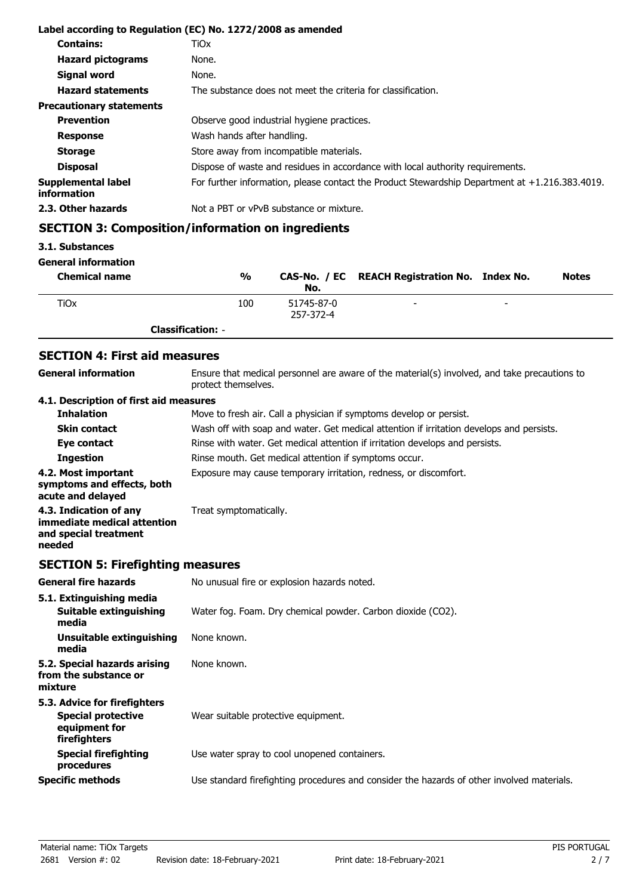|                                          | Label according to Regulation (EC) No. 1272/2008 as amended                                    |
|------------------------------------------|------------------------------------------------------------------------------------------------|
| <b>Contains:</b>                         | TiOx                                                                                           |
| <b>Hazard pictograms</b>                 | None.                                                                                          |
| Signal word                              | None.                                                                                          |
| <b>Hazard statements</b>                 | The substance does not meet the criteria for classification.                                   |
| <b>Precautionary statements</b>          |                                                                                                |
| <b>Prevention</b>                        | Observe good industrial hygiene practices.                                                     |
| <b>Response</b>                          | Wash hands after handling.                                                                     |
| <b>Storage</b>                           | Store away from incompatible materials.                                                        |
| <b>Disposal</b>                          | Dispose of waste and residues in accordance with local authority requirements.                 |
| Supplemental label<br><b>information</b> | For further information, please contact the Product Stewardship Department at +1.216.383.4019. |
| 2.3. Other hazards                       | Not a PBT or vPvB substance or mixture.                                                        |

# **SECTION 3: Composition/information on ingredients**

### **3.1. Substances**

**General information**

| <b>Chemical name</b> | $\frac{0}{0}$            | No.                     | CAS-No. / EC REACH Registration No. Index No. |                          | <b>Notes</b> |
|----------------------|--------------------------|-------------------------|-----------------------------------------------|--------------------------|--------------|
| TiOx                 | 100                      | 51745-87-0<br>257-372-4 | $\overline{\phantom{0}}$                      | $\overline{\phantom{0}}$ |              |
|                      | <b>Classification: -</b> |                         |                                               |                          |              |

# **SECTION 4: First aid measures**

| SECTION 4: FIRST ald measures                                          |                                                                                                                     |
|------------------------------------------------------------------------|---------------------------------------------------------------------------------------------------------------------|
| <b>General information</b>                                             | Ensure that medical personnel are aware of the material(s) involved, and take precautions to<br>protect themselves. |
| 4.1. Description of first aid measures                                 |                                                                                                                     |
| <b>Inhalation</b>                                                      | Move to fresh air. Call a physician if symptoms develop or persist.                                                 |
| <b>Skin contact</b>                                                    | Wash off with soap and water. Get medical attention if irritation develops and persists.                            |
| Eye contact                                                            | Rinse with water. Get medical attention if irritation develops and persists.                                        |
| <b>Ingestion</b>                                                       | Rinse mouth. Get medical attention if symptoms occur.                                                               |
| 4.2. Most important<br>symptoms and effects, both<br>acute and delayed | Exposure may cause temporary irritation, redness, or discomfort.                                                    |
| 4.3. Indication of any                                                 | Treat symptomatically.                                                                                              |

# **SECTION 5: Firefighting measures**

**immediate medical attention and special treatment**

**needed**

| <b>General fire hazards</b>                                                                | No unusual fire or explosion hazards noted.                                                |
|--------------------------------------------------------------------------------------------|--------------------------------------------------------------------------------------------|
| 5.1. Extinguishing media<br>Suitable extinguishing<br>media                                | Water fog. Foam. Dry chemical powder. Carbon dioxide (CO2).                                |
| Unsuitable extinguishing<br>media                                                          | None known.                                                                                |
| 5.2. Special hazards arising<br>from the substance or<br>mixture                           | None known.                                                                                |
| 5.3. Advice for firefighters<br><b>Special protective</b><br>equipment for<br>firefighters | Wear suitable protective equipment.                                                        |
| <b>Special firefighting</b><br>procedures                                                  | Use water spray to cool unopened containers.                                               |
| <b>Specific methods</b>                                                                    | Use standard firefighting procedures and consider the hazards of other involved materials. |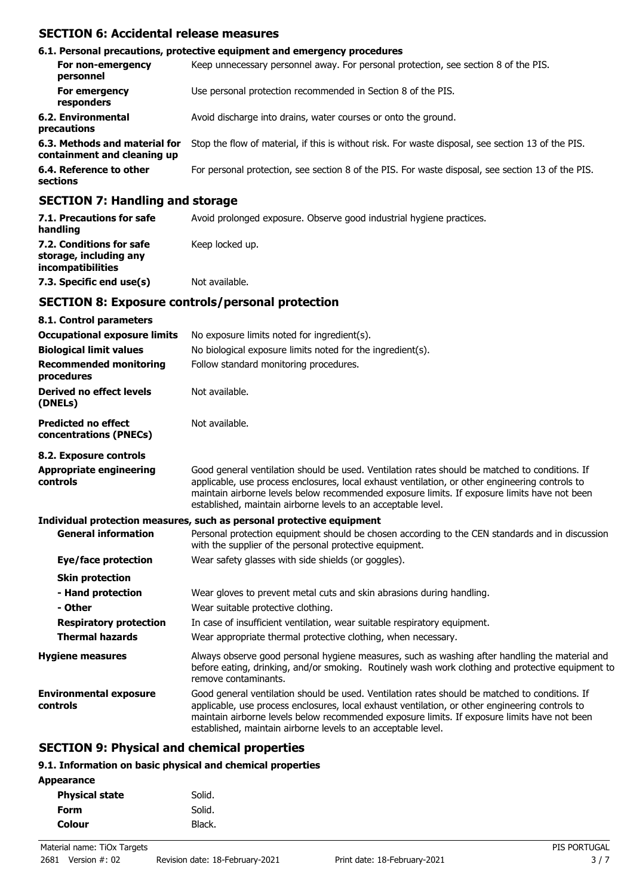# **SECTION 6: Accidental release measures**

| 6.1. Personal precautions, protective equipment and emergency procedures                                                                                                                                                                                                                                                                                                             |                                                                                                    |  |  |
|--------------------------------------------------------------------------------------------------------------------------------------------------------------------------------------------------------------------------------------------------------------------------------------------------------------------------------------------------------------------------------------|----------------------------------------------------------------------------------------------------|--|--|
| For non-emergency<br>personnel                                                                                                                                                                                                                                                                                                                                                       | Keep unnecessary personnel away. For personal protection, see section 8 of the PIS.                |  |  |
| For emergency<br>responders                                                                                                                                                                                                                                                                                                                                                          | Use personal protection recommended in Section 8 of the PIS.                                       |  |  |
| 6.2. Environmental<br>precautions                                                                                                                                                                                                                                                                                                                                                    | Avoid discharge into drains, water courses or onto the ground.                                     |  |  |
| 6.3. Methods and material for<br>containment and cleaning up                                                                                                                                                                                                                                                                                                                         | Stop the flow of material, if this is without risk. For waste disposal, see section 13 of the PIS. |  |  |
| 6.4. Reference to other<br>sections                                                                                                                                                                                                                                                                                                                                                  | For personal protection, see section 8 of the PIS. For waste disposal, see section 13 of the PIS.  |  |  |
| $\overline{A}$ $\overline{B}$ $\overline{B}$ $\overline{B}$ $\overline{B}$ $\overline{B}$ $\overline{B}$ $\overline{B}$ $\overline{B}$ $\overline{B}$ $\overline{B}$ $\overline{B}$ $\overline{B}$ $\overline{B}$ $\overline{B}$ $\overline{B}$ $\overline{B}$ $\overline{B}$ $\overline{B}$ $\overline{B}$ $\overline{B}$ $\overline{B}$ $\overline{B}$ $\overline{B}$ $\overline{$ |                                                                                                    |  |  |

### **SECTION 7: Handling and storage**

| 7.1. Precautions for safe<br>handling                                   | Avoid prolonged exposure. Observe good industrial hygiene practices. |
|-------------------------------------------------------------------------|----------------------------------------------------------------------|
| 7.2. Conditions for safe<br>storage, including any<br>incompatibilities | Keep locked up.                                                      |
| 7.3. Specific end use(s)                                                | Not available.                                                       |

### **SECTION 8: Exposure controls/personal protection**

| 8.1. Control parameters                              |                                                                                                                                                                                                                                                                                                                                                                    |
|------------------------------------------------------|--------------------------------------------------------------------------------------------------------------------------------------------------------------------------------------------------------------------------------------------------------------------------------------------------------------------------------------------------------------------|
| <b>Occupational exposure limits</b>                  | No exposure limits noted for ingredient(s).                                                                                                                                                                                                                                                                                                                        |
| <b>Biological limit values</b>                       | No biological exposure limits noted for the ingredient(s).                                                                                                                                                                                                                                                                                                         |
| <b>Recommended monitoring</b><br>procedures          | Follow standard monitoring procedures.                                                                                                                                                                                                                                                                                                                             |
| Derived no effect levels<br>(DNELs)                  | Not available.                                                                                                                                                                                                                                                                                                                                                     |
| <b>Predicted no effect</b><br>concentrations (PNECs) | Not available.                                                                                                                                                                                                                                                                                                                                                     |
| 8.2. Exposure controls                               |                                                                                                                                                                                                                                                                                                                                                                    |
| <b>Appropriate engineering</b><br>controls           | Good general ventilation should be used. Ventilation rates should be matched to conditions. If<br>applicable, use process enclosures, local exhaust ventilation, or other engineering controls to<br>maintain airborne levels below recommended exposure limits. If exposure limits have not been<br>established, maintain airborne levels to an acceptable level. |
|                                                      | Individual protection measures, such as personal protective equipment                                                                                                                                                                                                                                                                                              |
| <b>General information</b>                           | Personal protection equipment should be chosen according to the CEN standards and in discussion<br>with the supplier of the personal protective equipment.                                                                                                                                                                                                         |
| Eye/face protection                                  | Wear safety glasses with side shields (or goggles).                                                                                                                                                                                                                                                                                                                |
| <b>Skin protection</b>                               |                                                                                                                                                                                                                                                                                                                                                                    |
| - Hand protection<br>- Other                         | Wear gloves to prevent metal cuts and skin abrasions during handling.<br>Wear suitable protective clothing.                                                                                                                                                                                                                                                        |
| <b>Respiratory protection</b>                        | In case of insufficient ventilation, wear suitable respiratory equipment.                                                                                                                                                                                                                                                                                          |
| <b>Thermal hazards</b>                               | Wear appropriate thermal protective clothing, when necessary.                                                                                                                                                                                                                                                                                                      |
| <b>Hygiene measures</b>                              | Always observe good personal hygiene measures, such as washing after handling the material and<br>before eating, drinking, and/or smoking. Routinely wash work clothing and protective equipment to<br>remove contaminants.                                                                                                                                        |
| <b>Environmental exposure</b><br>controls            | Good general ventilation should be used. Ventilation rates should be matched to conditions. If<br>applicable, use process enclosures, local exhaust ventilation, or other engineering controls to<br>maintain airborne levels below recommended exposure limits. If exposure limits have not been<br>established, maintain airborne levels to an acceptable level. |

# **SECTION 9: Physical and chemical properties**

## **9.1. Information on basic physical and chemical properties**

| <b>Appearance</b>     |        |
|-----------------------|--------|
| <b>Physical state</b> | Solid. |
| <b>Form</b>           | Solid. |
| <b>Colour</b>         | Black. |
|                       |        |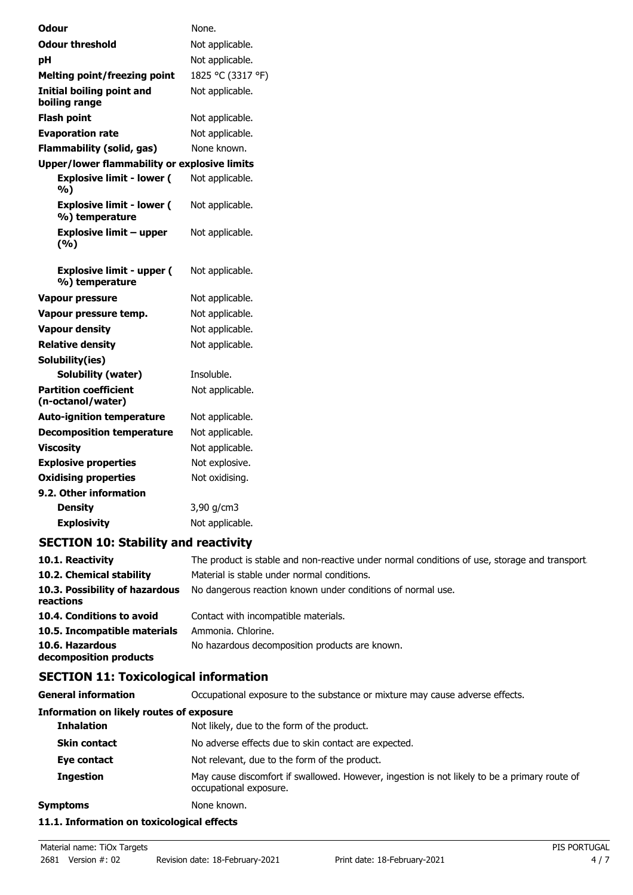| Odour                                              | None.             |
|----------------------------------------------------|-------------------|
| <b>Odour threshold</b>                             | Not applicable.   |
| рH                                                 | Not applicable.   |
| <b>Melting point/freezing point</b>                | 1825 °C (3317 °F) |
| <b>Initial boiling point and</b><br>boiling range  | Not applicable.   |
| <b>Flash point</b>                                 | Not applicable.   |
| <b>Evaporation rate</b>                            | Not applicable.   |
| <b>Flammability (solid, gas)</b>                   | None known.       |
| Upper/lower flammability or explosive limits       |                   |
| <b>Explosive limit - lower (</b><br>%)             | Not applicable.   |
| <b>Explosive limit - lower (</b><br>%) temperature | Not applicable.   |
| <b>Explosive limit - upper</b><br>(%)              | Not applicable.   |
| <b>Explosive limit - upper (</b><br>%) temperature | Not applicable.   |
| Vapour pressure                                    | Not applicable.   |
| Vapour pressure temp.                              | Not applicable.   |
| <b>Vapour density</b>                              | Not applicable.   |
| <b>Relative density</b>                            | Not applicable.   |
| Solubility(ies)                                    |                   |
| Solubility (water)                                 | Insoluble.        |
| <b>Partition coefficient</b><br>(n-octanol/water)  | Not applicable.   |
| <b>Auto-ignition temperature</b>                   | Not applicable.   |
| <b>Decomposition temperature</b>                   | Not applicable.   |
| <b>Viscosity</b>                                   | Not applicable.   |
| <b>Explosive properties</b>                        | Not explosive.    |
| <b>Oxidising properties</b>                        | Not oxidising.    |
| 9.2. Other information                             |                   |
| <b>Density</b>                                     | 3,90 g/cm3        |
| <b>Explosivity</b>                                 | Not applicable.   |

# **SECTION 10: Stability and reactivity**

| 10.1. Reactivity                            | The product is stable and non-reactive under normal conditions of use, storage and transport |
|---------------------------------------------|----------------------------------------------------------------------------------------------|
| 10.2. Chemical stability                    | Material is stable under normal conditions.                                                  |
| 10.3. Possibility of hazardous<br>reactions | No dangerous reaction known under conditions of normal use.                                  |
| 10.4. Conditions to avoid                   | Contact with incompatible materials.                                                         |
| 10.5. Incompatible materials                | Ammonia. Chlorine.                                                                           |
| 10.6. Hazardous<br>decomposition products   | No hazardous decomposition products are known.                                               |

# **SECTION 11: Toxicological information**

**General information CCCUPATION** Occupational exposure to the substance or mixture may cause adverse effects.

### **Information on likely routes of exposure**

| Symptoms            | None known.                                                                                                            |  |
|---------------------|------------------------------------------------------------------------------------------------------------------------|--|
| <b>Ingestion</b>    | May cause discomfort if swallowed. However, ingestion is not likely to be a primary route of<br>occupational exposure. |  |
| Eye contact         | Not relevant, due to the form of the product.                                                                          |  |
| <b>Skin contact</b> | No adverse effects due to skin contact are expected.                                                                   |  |
| <b>Inhalation</b>   | Not likely, due to the form of the product.                                                                            |  |
|                     |                                                                                                                        |  |

### **11.1. Information on toxicological effects**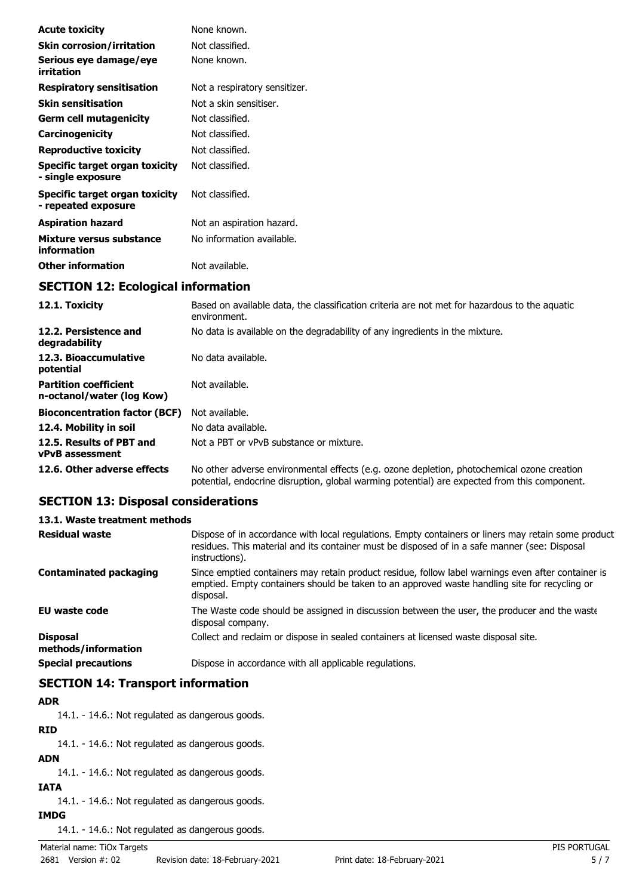| <b>Acute toxicity</b>                                 | None known.                   |  |
|-------------------------------------------------------|-------------------------------|--|
| <b>Skin corrosion/irritation</b>                      | Not classified.               |  |
| Serious eye damage/eye<br>irritation                  | None known.                   |  |
| <b>Respiratory sensitisation</b>                      | Not a respiratory sensitizer. |  |
| <b>Skin sensitisation</b>                             | Not a skin sensitiser.        |  |
| <b>Germ cell mutagenicity</b>                         | Not classified.               |  |
| Carcinogenicity                                       | Not classified.               |  |
| <b>Reproductive toxicity</b>                          | Not classified.               |  |
| Specific target organ toxicity<br>- single exposure   | Not classified.               |  |
| Specific target organ toxicity<br>- repeated exposure | Not classified.               |  |
| <b>Aspiration hazard</b>                              | Not an aspiration hazard.     |  |
| Mixture versus substance<br>information               | No information available.     |  |
| <b>Other information</b>                              | Not available.                |  |
| <b>SECTION 12: Ecological information</b>             |                               |  |

| 12.1. Toxicity                                            | Based on available data, the classification criteria are not met for hazardous to the aquatic<br>environment.                                                                              |  |
|-----------------------------------------------------------|--------------------------------------------------------------------------------------------------------------------------------------------------------------------------------------------|--|
| 12.2. Persistence and<br>degradability                    | No data is available on the degradability of any ingredients in the mixture.                                                                                                               |  |
| 12.3. Bioaccumulative<br>potential                        | No data available.                                                                                                                                                                         |  |
| <b>Partition coefficient</b><br>n-octanol/water (log Kow) | Not available.                                                                                                                                                                             |  |
| <b>Bioconcentration factor (BCF)</b>                      | Not available.                                                                                                                                                                             |  |
| 12.4. Mobility in soil                                    | No data available.                                                                                                                                                                         |  |
| 12.5. Results of PBT and<br><b>vPvB</b> assessment        | Not a PBT or vPvB substance or mixture.                                                                                                                                                    |  |
| 12.6. Other adverse effects                               | No other adverse environmental effects (e.g. ozone depletion, photochemical ozone creation<br>potential, endocrine disruption, global warming potential) are expected from this component. |  |

# **SECTION 13: Disposal considerations**

# **13.1. Waste treatment methods**

| <b>Residual waste</b>                  | Dispose of in accordance with local regulations. Empty containers or liners may retain some product<br>residues. This material and its container must be disposed of in a safe manner (see: Disposal<br>instructions). |
|----------------------------------------|------------------------------------------------------------------------------------------------------------------------------------------------------------------------------------------------------------------------|
| <b>Contaminated packaging</b>          | Since emptied containers may retain product residue, follow label warnings even after container is<br>emptied. Empty containers should be taken to an approved waste handling site for recycling or<br>disposal.       |
| EU waste code                          | The Waste code should be assigned in discussion between the user, the producer and the waste<br>disposal company.                                                                                                      |
| <b>Disposal</b><br>methods/information | Collect and reclaim or dispose in sealed containers at licensed waste disposal site.                                                                                                                                   |
| <b>Special precautions</b>             | Dispose in accordance with all applicable regulations.                                                                                                                                                                 |

# **SECTION 14: Transport information**

### **ADR**

14.1. - 14.6.: Not regulated as dangerous goods.

### **RID**

14.1. - 14.6.: Not regulated as dangerous goods.

# **ADN**

14.1. - 14.6.: Not regulated as dangerous goods.

# **IATA**

14.1. - 14.6.: Not regulated as dangerous goods.

**IMDG**

14.1. - 14.6.: Not regulated as dangerous goods.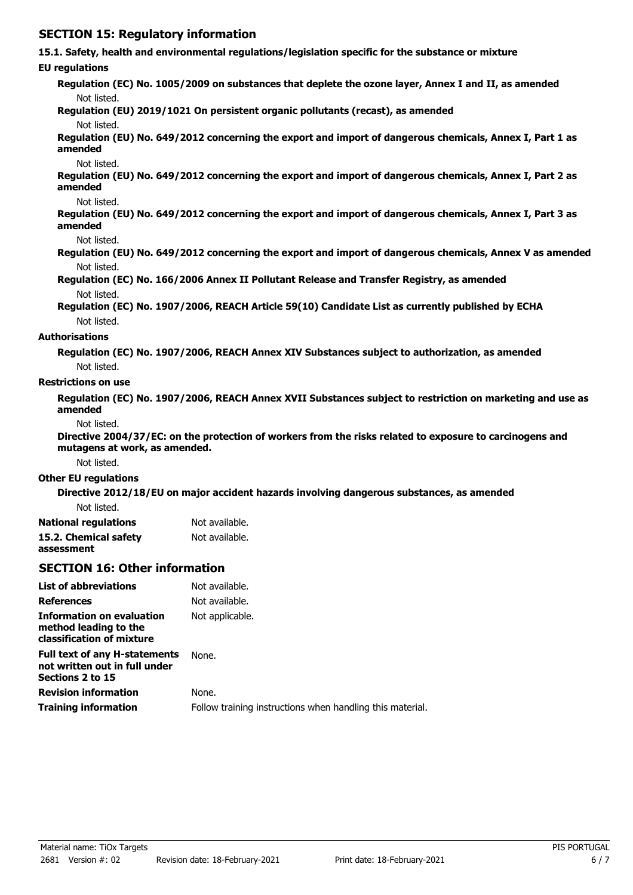# **SECTION 15: Regulatory information**

### **15.1. Safety, health and environmental regulations/legislation specific for the substance or mixture**

#### **EU regulations**

**Regulation (EC) No. 1005/2009 on substances that deplete the ozone layer, Annex I and II, as amended** Not listed.

**Regulation (EU) 2019/1021 On persistent organic pollutants (recast), as amended**

### Not listed.

**Regulation (EU) No. 649/2012 concerning the export and import of dangerous chemicals, Annex I, Part 1 as amended**

#### Not listed.

**Regulation (EU) No. 649/2012 concerning the export and import of dangerous chemicals, Annex I, Part 2 as amended**

#### Not listed.

**Regulation (EU) No. 649/2012 concerning the export and import of dangerous chemicals, Annex I, Part 3 as amended**

#### Not listed.

**Regulation (EU) No. 649/2012 concerning the export and import of dangerous chemicals, Annex V as amended** Not listed.

**Regulation (EC) No. 166/2006 Annex II Pollutant Release and Transfer Registry, as amended** Not listed.

**Regulation (EC) No. 1907/2006, REACH Article 59(10) Candidate List as currently published by ECHA** Not listed.

#### **Authorisations**

**Regulation (EC) No. 1907/2006, REACH Annex XIV Substances subject to authorization, as amended** Not listed.

#### **Restrictions on use**

**Regulation (EC) No. 1907/2006, REACH Annex XVII Substances subject to restriction on marketing and use as amended**

Not listed.

**Directive 2004/37/EC: on the protection of workers from the risks related to exposure to carcinogens and mutagens at work, as amended.**

Not listed.

#### **Other EU regulations**

**Directive 2012/18/EU on major accident hazards involving dangerous substances, as amended** Not listed.

| <b>National regulations</b> | Not available. |
|-----------------------------|----------------|
| 15.2. Chemical safety       | Not available. |
| assessment                  |                |

### **SECTION 16: Other information**

| <b>List of abbreviations</b>                                                              | Not available.                                            |
|-------------------------------------------------------------------------------------------|-----------------------------------------------------------|
| <b>References</b>                                                                         | Not available.                                            |
| Information on evaluation<br>method leading to the<br>classification of mixture           | Not applicable.                                           |
| <b>Full text of any H-statements</b><br>not written out in full under<br>Sections 2 to 15 | None.                                                     |
| <b>Revision information</b>                                                               | None.                                                     |
| <b>Training information</b>                                                               | Follow training instructions when handling this material. |